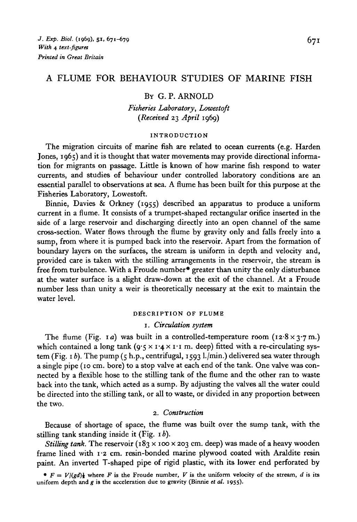## A FLUME FOR BEHAVIOUR STUDIES OF MARINE FISH

#### BY G. P. ARNOLD

*Fisheries Laboratory, Lowestoft {Received* 23 *April* 1969)

#### INTRODUCTION

The migration circuits of marine fish are related to ocean currents (e.g. Harden Jones, 1965) and it is thought that water movements may provide directional information for migrants on passage. Little is known of how marine fish respond to water currents, and studies of behaviour under controlled laboratory conditions are an essential parallel to observations at sea. A flume has been built for this purpose at the Fisheries Laboratory, Lowestoft.

Binnie, Davies & Orkney (1955) described an apparatus to produce a uniform current in a flume. It consists of a trumpet-shaped rectangular orifice inserted in the side of a large reservoir and discharging directly into an open channel of the same cross-section. Water flows through the flume by gravity only and falls freely into a sump, from where it is pumped back into the reservoir. Apart from the formation of boundary layers on the surfaces, the stream is uniform in depth and velocity and, provided care is taken with the stilling arrangements in the reservoir, the stream is free from turbulence. With a Froude number\* greater than unity the only disturbance at the water surface is a slight draw-down at the exit of the channel. At a Froude number less than unity a weir is theoretically necessary at the exit to maintain the water level.

## DESCRIPTION OF FLUME

## 1. *Circulation system*

The flume (Fig. 1*a*) was built in a controlled-temperature room (12.8 x 3.7 m.) which contained a long tank  $(q \cdot 5 \times 1 \cdot 4 \times 1 \cdot 1 \text{ m}$ . deep) fitted with a re-circulating system (Fig. 1 *b).* The pump (5 h.p., centrifugal, 1593 l./min.) delivered sea water through a single pipe (10 cm. bore) to a stop valve at each end of the tank. One valve was connected by a flexible hose to the stilling tank of the flume and the other ran to waste back into the tank, which acted as a sump. By adjusting the valves all the water could be directed into the stilling tank, or all to waste, or divided in any proportion between the two.

### 2. *Construction*

Because of shortage of space, the flume was built over the sump tank, with the stilling tank standing inside it (Fig. 1 *b).*

*Stilling tank.* The reservoir  $(183 \times 100 \times 203 \text{ cm}$ . deep) was made of a heavy wooden frame lined with 1-2 cm. resin-bonded marine plywood coated with Araldite resin paint. An inverted T-shaped pipe of rigid plastic, with its lower end perforated by

•  $F = V/(gd)$ **}** where *F* is the Froude number, *V* is the uniform velocity of the stream, *d* is its uniform depth and *g* is the acceleration due to gravity (Binnie *et al.* 1955).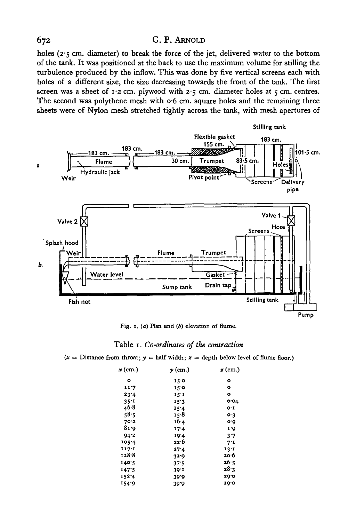holes (2.5 cm. diameter) to break the force of the jet, delivered water to the bottom of the tank. It was positioned at the back to use the maximum volume for stilling the turbulence produced by the inflow. This was done by five vertical screens each with holes of a different size, the size decreasing towards the front of the tank. The first screen was a sheet of  $1.2$  cm. plywood with  $2.5$  cm. diameter holes at  $5$  cm. centres. The second was polythene mesh with  $\sigma$ -6 cm. square holes and the remaining three sheets were of Nylon mesh stretched tightly across the tank, with mesh apertures of



Fig. 1. (a) Plan and  $(b)$  elevation of flume.

#### Table i. *Co-ordinates of the contraction*

 $(x =$  Distance from throat;  $y =$  half width;  $z =$  depth below level of flume floor.)

| $x$ (cm.) | $y$ (cm.)         | <i>3</i> (cm.) |
|-----------|-------------------|----------------|
| ۰         | 150               | ۰              |
| 11.7      | 150               | ۰              |
| 23.4      | 15T               | ۰              |
| 35.1      | 15.3              | 004            |
| 46.8      | 15'4              | O'I            |
| 58.5      | 15.8              | o·3            |
| 70.2      | 16.4              | o٠٥            |
| 81.0      | 17.4              | 1.0            |
| 94.2      | 19'4              | 3.7            |
| 105.4     | 22.6              | 7.1            |
| 117:1     | 27.4              | 13.1           |
| 128.8     | 32.9              | 20.6           |
| 140.5     | 37.5              | 26∙5           |
| 147.5     | 39 <sup>.</sup> 1 | 28.3           |
| 1524      | 39.0              | 29.0           |
| 154.9     | 39.9              | 29.0           |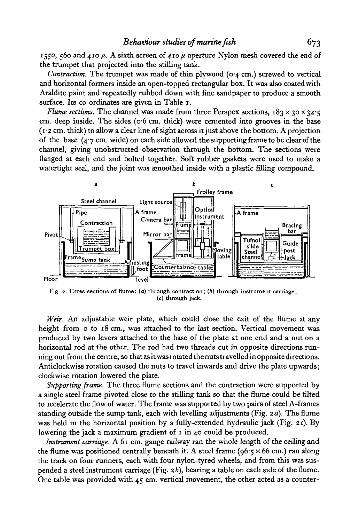1550, 560 and 410  $\mu$ . A sixth screen of 410  $\mu$  aperture Nylon mesh covered the end of the trumpet that projected into the stilling tank.

*Contraction.* The trumpet was made of thin plywood (0-4 cm.) screwed to vertical and horizontal formers inside an open-topped rectangular box. It was also coated with Araldite paint and repeatedly rubbed down with fine sandpaper to produce a smooth surface. Its co-ordinates are given in Table 1.

*Flume sections.* The channel was made from three Perspex sections,  $183 \times 30 \times 32.5$ cm. deep inside. The sides ( $o·6$  cm. thick) were cemented into grooves in the base (1 -2 cm. thick) to allow a clear line of sight across it just above the bottom. A projection of the base  $(4.7 \text{ cm}, \text{wide})$  on each side allowed the supporting frame to be clear of the channel, giving unobstructed observation through the bottom. The sections were flanged at each end and bolted together. Soft rubber gaskets were used to make a watertight seal, and the joint was smoothed inside with a plastic filling compound.



Fig. 2. Cross-sections of flume: (a) through contraction; (b) through instrument carriage; (c) through jack.

*Weir.* An adjustable weir plate, which could close the exit of the flume at any height from o to 18 cm., was attached to the last section. Vertical movement was produced by two levers attached to the base of the plate at one end and a nut on a horizontal rod at the other. The rod had two threads cut in opposite directions running out from the centre, so thatasitwas rotated thenuts travelled in opposite directions. Anticlockwise rotation caused the nuts to travel inwards and drive the plate upwards; clockwise rotation lowered the plate.

*Supporting frame.* The three flume sections and the contraction were supported by a single steel frame pivoted close to the stilling tank so that the flume could be tilted to accelerate the flow of water. The frame was supported by two pairs of steel A-frames standing outside the sump tank, each with levelling adjustments (Fig. *2 a).* The flume was held in the horizontal position by a fully-extended hydraulic jack (Fig. *2 c).* By lowering the jack a maximum gradient of 1 in 40 could be produced.

*Instrument carriage.* A 61 cm. gauge railway ran the whole length of the ceiling and the flume was positioned centrally beneath it. A steel frame ( $96\cdot$ ,  $\times$  66 cm.) ran along the track on four runners, each with four nylon-tyred wheels, and from this was suspended a steel instrument carriage (Fig. *2b),* bearing a table on each side of the flume. One table was provided with  $45$  cm. vertical movement, the other acted as a counter-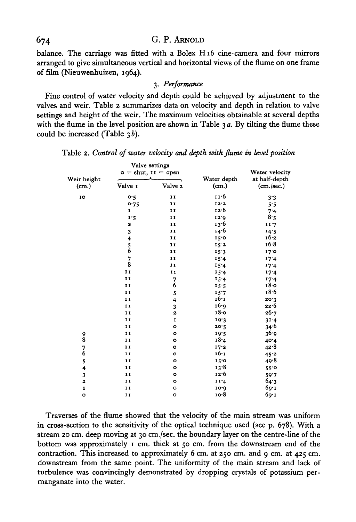balance. The carriage was fitted with a Bolex H16 cine-camera and four mirrors arranged to give simultaneous vertical and horizontal views of the flume on one frame of film (Nieuwenhuizen, 1964).

## 3. *Performance*

Fine control of water velocity and depth could be achieved by adjustment to the valves and weir. Table 2 summarizes data on velocity and depth in relation to valve settings and height of the weir. The maximum velocities obtainable at several depths with the flume in the level position are shown in Table  $3a$ . By tilting the flume these could be increased (Table  $3b$ ).

|                      | Valve settings<br>$o =$ shut, $11 =$ open  |                |                      | Water velocity              |
|----------------------|--------------------------------------------|----------------|----------------------|-----------------------------|
| Weir height<br>(cm.) | Valve 1                                    | Valve 2        | Water depth<br>(cm.) | at half-depth<br>(cm./sec.) |
| 10                   | o.5                                        | 11             | 11.6                 | 3.3                         |
|                      | 0.75                                       | 11             | 12.2                 | 5.5                         |
|                      | $\mathbf{I}$                               | I <sub>I</sub> | 12.6                 | 7.4                         |
|                      | 1.5                                        | $\mathbf{I}$   | 12.9                 | 8.5                         |
|                      | 2                                          | 11             | 13.6                 | 11.7                        |
|                      | 3                                          | 11             | 14.6                 | 14.5                        |
|                      |                                            | $\mathbf{I}$   | 15.0                 | 16.2                        |
|                      | $\begin{array}{c} 4 \\ 5 \\ 6 \end{array}$ | 11             | 15.2                 | 16.8                        |
|                      |                                            | 11             | 15.3                 | 170                         |
|                      | 7                                          | 11             | 15.4                 | 17.4                        |
|                      | 8                                          | $\mathbf{I}$   | 15.4                 | 17.4                        |
|                      | $\mathbf{I}$                               | 11             | 15.4                 | 17.4                        |
|                      | 11                                         | 7              | 15.4                 | 17.4                        |
|                      | $\mathbf{I}$                               | 6              | 15.5                 | 18.0                        |
|                      | 11                                         |                | 15.7                 | 18.6                        |
|                      | $\mathbf{I}$                               | $\frac{5}{4}$  | 16.1                 | 20.3                        |
|                      | $\mathbf{I}$                               | 3              | 16.9                 | 22.6                        |
|                      | I <sub>I</sub>                             | 2              | $18$ o               | 26.7                        |
|                      | $\mathbf{I}$                               | I              | 19.3                 | 31.4                        |
|                      | $\mathbf{I}$                               | $\circ$        | 20.5                 | 34.6                        |
|                      | 11                                         | $\circ$        | 19.5                 | 36.9                        |
| 9<br>8               | $\mathbf{I}$                               | $\circ$        | 18.4                 | 40.4                        |
| 7                    | 11                                         | o              | 17.2                 | 42.8                        |
| 6                    | $\mathbf{I}$                               | $\bullet$      | 16-1                 | 45.2                        |
| 5                    | $\mathbf{I}$                               | $\bullet$      | 15.0                 | 49.8                        |
| 4                    | $\mathbf{I}$                               | $\bullet$      | 13.8                 | 55.0                        |
| 3                    | $\mathbf{I}$                               | $\bullet$      | 12.6                 | 59.7                        |
| 2                    | $\mathbf{I}$                               | $\circ$        | II <sub>4</sub>      | 64.3                        |
| I                    | $\mathbf{I}$                               | o              | 10.9                 | 60.1                        |
| $\bullet$            | II                                         | $\circ$        | 10.8                 | 69.1                        |

Table 2. *Control of water velocity and depth with flume in level position*

Traverses of the flume showed that the velocity of the main stream was uniform in cross-section to the sensitivity of the optical technique used (see p. 678). With a stream 20 cm. deep moving at 30 cm./sec. the boundary layer on the centre-line of the bottom was approximately 1 cm. thick at 50 cm. from the downstream end of the contraction. This increased to approximately 6 cm. at 250 cm. and 9 cm. at 425 cm. downstream from the same point. The uniformity of the main stream and lack of turbulence was convincingly demonstrated by dropping crystals of potassium permanganate into the water.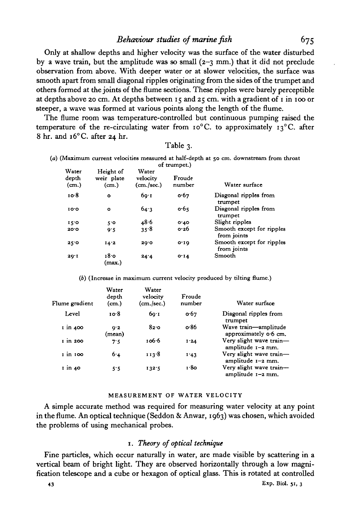Only at shallow depths and higher velocity was the surface of the water disturbed by a wave train, but the amplitude was so small  $(2-3)$  mm.) that it did not preclude observation from above. With deeper water or at slower velocities, the surface was smooth apart from small diagonal ripples originating from the sides of the trumpet and others formed at the joints of the flume sections. These ripples were barely perceptible at depths above 20 cm. At depths between 15 and 25 cm. with a gradient of 1 in 100 or steeper, a wave was formed at various points along the length of the flume.

The flume room was temperature-controlled but continuous pumping raised the temperature of the re-circulating water from  $10^{\circ}$ C. to approximately  $13^{\circ}$ C. after 8 hr. and 16° C. after 24 hr.

| <b>Table</b> : |  |
|----------------|--|
|----------------|--|

(a) (Maximum current velocities measured at half-depth at 50 cm. downstream from throat of trumpet.)

| Water<br>depth<br>(m.) | Height of<br>weir plate<br>(m.) | Water<br>velocity<br>(cm./sec.) | Froude<br>number | Water surface                            |
|------------------------|---------------------------------|---------------------------------|------------------|------------------------------------------|
| 10.8                   | $\bullet$                       | 60.1                            | 0.67             | Diagonal ripples from<br>trumpet         |
| 10.0                   | $\bullet$                       | 64.3                            | 0.65             | Diagonal ripples from<br>trumpet         |
| 15.0                   | 5°                              | 48.6                            | 0.10             | Slight ripples                           |
| 20.0                   | 9.5                             | 35.8                            | 0.26             | Smooth except for ripples<br>from joints |
| 25.0                   | 14.2                            | 29.0                            | $O^T$ 19         | Smooth except for ripples<br>from joints |
| 20.1                   | 18.0<br>(max.)                  | 24.4                            | 0.14             | Smooth                                   |

(6) (Increase in maximum current velocity produced by tilting flume.)

| Flume gradient       | Water<br>depth<br>(cm.) | Water<br>velocity<br>(cm./sec.) | Froude<br>number | Water surface                                   |
|----------------------|-------------------------|---------------------------------|------------------|-------------------------------------------------|
| Level                | 10∙8                    | 60.1                            | 0.67             | Diagonal ripples from<br>trumpet                |
| $\frac{1}{1}$ in 400 | 9.2<br>(mean)           | 820                             | o 86             | Wave train-amplitude<br>approximately $o·6$ cm. |
| $i$ in 200           | 7.5                     | 106.6                           | 1'24             | Very slight wave train-<br>amplitude $1-2$ mm.  |
| 1 in 100             | 6.4                     | 113.8                           | 1.43             | Very slight wave train-<br>amplitude $1-2$ mm.  |
| 1 in 40              | 5.5                     | 132.5                           | 1.80             | Very slight wave train-<br>amplitude $1-2$ mm.  |

#### **MEASUREMENT OF WATER VELOCITY**

A simple accurate method was required for measuring water velocity at any point in the flume. An optical technique (Seddon & Anwar, 1963) was chosen, which avoided the problems of using mechanical probes.

## 1. *Theory of optical technique*

Fine particles, which occur naturally in water, are made visible by scattering in a vertical beam of bright light. They are observed horizontally through a low magnification telescope and a cube or hexagon of optical glass. This is rotated at controlled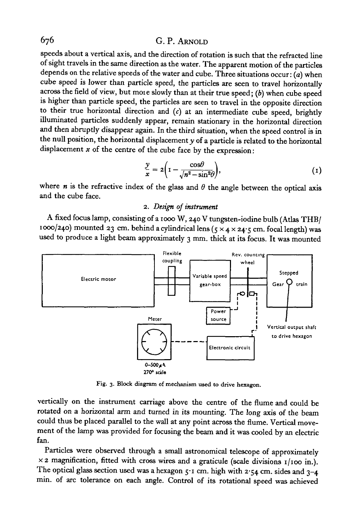speeds about a vertical axis, and the direction of rotation is such that the refracted line of sight travels in the same direction as the water. The apparent motion of the particles depends on the relative speeds of the water and cube. Three situations occur:  $(a)$  when cube speed is lower than particle speed, the particles are seen to travel horizontally across the field of view, but moie slowly than at their true speed; *(b)* when cube speed is higher than particle speed, the particles are seen to travel in the opposite direction to their true horizontal direction and *(c)* at an intermediate cube speed, brightly illuminated particles suddenly appear, remain stationary in the horizontal direction and then abruptly disappear again. In the third situation, when the speed control is in the null position, the horizontal displacement *y* of a particle is related to the horizontal displacement *x* of the centre of the cube face by the expression:

$$
\frac{y}{x} = 2\left(1 - \frac{\cos\theta}{\sqrt{n^2 - \sin^2\theta}}\right),\tag{1}
$$

where  $n$  is the refractive index of the glass and  $\theta$  the angle between the optical axis and the cube face.

## 2. *Design of instrument*

A fixed focus lamp, consisting of a iooo W, 240 V tungsten-iodine bulb (Atlas THB/ 1000/240) mounted 23 cm. behind a cylindrical lens  $(5 \times 4 \times 24.5$  cm. focal length) was used to produce a light beam approximately 3 mm. thick at its focus. It was mounted



Fig. 3. Block diagram of mechanism used to drive hexagon.

vertically on the instrument carriage above the centre of the flume and could be rotated on a horizontal arm and turned in its mounting. The long axis of the beam could thus be placed parallel to the wall at any point across the flume. Vertical movement of the lamp was provided for focusing the beam and it was cooled by an electric fan.

Particles were observed through a small astronomical telescope of approximately  $\times$  2 magnification, fitted with cross wires and a graticule (scale divisions  $1/100$  in.). The optical glass section used was a hexagon  $5r$  cm. high with  $2.54$  cm. sides and  $3-4$ min. of arc tolerance on each angle. Control of its rotational speed was achieved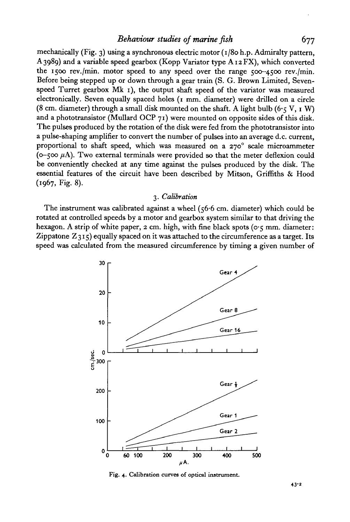## *Behaviour studies of marine fish* 677

mechanically (Fig. 3) using a synchronous electric motor  $(1/80 h.p.$  Admiralty pattern, A 3989) and a variable speed gearbox (Kopp Variator type  $A_1ZFX$ ), which converted the 1500 rev./min. motor speed to any speed over the range  $500-4500$  rev./min. Before being stepped up or down through a gear train (S. G. Brown Limited, Sevenspeed Turret gearbox Mk 1), the output shaft speed of the variator was measured electronically. Seven equally spaced holes (1 mm. diameter) were drilled on a circle (8 cm. diameter) through a small disk mounted on the shaft. A light bulb (6.5 V, 1 W) and a phototransistor (Mullard OCP  $71$ ) were mounted on opposite sides of this disk. The pulses produced by the rotation of the disk were fed from the phototransistor into a pulse-shaping amplifier to convert the number of pulses into an average d.c. current, proportional to shaft speed, which was measured on a  $270^\circ$  scale microammeter ( $\infty$ –500  $\mu$ A). Two external terminals were provided so that the meter deflexion could be conveniently checked at any time against the pulses produced by the disk. The essential features of the circuit have been described by Mitson, Griffiths & Hood (1967, Fig. 8).

### 3. *Calibration*

The instrument was calibrated against a wheel  $(56.6 \text{ cm. diameter})$  which could be rotated at controlled speeds by a motor and gearbox system similar to that driving the hexagon. A strip of white paper,  $2 \text{ cm}$ , high, with fine black spots ( $\circ \cdot \cdot$  mm. diameter: Zippatone  $Z_3I_5$  equally spaced on it was attached to the circumference as a target. Its speed was calculated from the measured circumference by timing a given number of



**Fig. 4. Calibration curves of optical instrument.**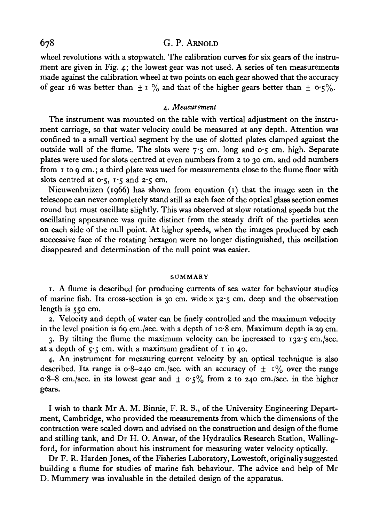wheel revolutions with a stopwatch. The calibration curves for six gears of the instrument are given in Fig. 4; the lowest gear was not used. A series of ten measurements made against the calibration wheel at two points on each gear showed that the accuracy of gear 16 was better than  $\pm$  1 % and that of the higher gears better than  $\pm$  0.5%.

### 4. *Measurement*

The instrument was mounted on the table with vertical adjustment on the instrument carriage, so that water velocity could be measured at any depth. Attention was confined to a small vertical segment by the use of slotted plates clamped against the outside wall of the flume. The slots were  $7.5$  cm. long and  $0.5$  cm. high. Separate plates were used for slots centred at even numbers from 2 to 30 cm. and odd numbers from 1 to 9 cm.; a third plate was used for measurements close to the flume floor with slots centred at  $0.5$ ,  $1.5$  and  $2.5$  cm.

Nieuwenhuizen (1966) has shown from equation (1) that the image seen in the telescope can never completely stand still as each face of the optical glass section comes round but must oscillate slightly. This was observed at slow rotational speeds but the oscillating appearance was quite distinct from the steady drift of the particles seen on each side of the null point. At higher speeds, when the images produced by each successive face of the rotating hexagon were no longer distinguished, this oscillation disappeared and determination of the null point was easier.

#### **SUMMARY**

1. A flume is described for producing currents of sea water for behaviour studies of marine fish. Its cross-section is 30 cm. wide  $\times$  32.5 cm. deep and the observation length is 550 cm.

2. Velocity and depth of water can be finely controlled and the maximum velocity in the level position is 69 cm./sec. with a depth of  $10.8$  cm. Maximum depth is 29 cm.

3. By tilting the flume the maximum velocity can be increased to  $132.5$  cm./sec. at a depth of  $\varsigma$ ,  $\varsigma$  cm. with a maximum gradient of 1 in 40.

4. An instrument for measuring current velocity by an optical technique is also described. Its range is  $o·8-240$  cm./sec. with an accuracy of  $\pm 1\%$  over the range  $o-8-8$  cm./sec. in its lowest gear and  $\pm$   $o.5\%$  from 2 to 240 cm./sec. in the higher gears.

I wish to thank Mr A. M. Binnie, F. R. S., of the University Engineering Department, Cambridge, who provided the measurements from which the dimensions of the contraction were scaled down and advised on the construction and design of the flume and stilling tank, and Dr H. O. Anwar, of the Hydraulics Research Station, Wallingford, for information about his instrument for measuring water velocity optically.

Dr F. R. Harden Jones, of the Fisheries Laboratory, Lowestoft, originally suggested building a flume for studies of marine fish behaviour. The advice and help of Mr D. Mummery was invaluable in the detailed design of the apparatus.